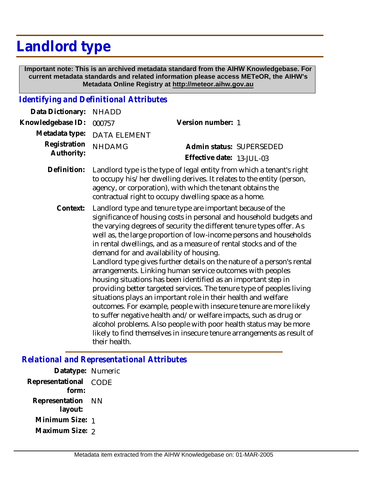## **Landlord type**

 **Important note: This is an archived metadata standard from the AIHW Knowledgebase. For current metadata standards and related information please access METeOR, the AIHW's Metadata Online Registry at http://meteor.aihw.gov.au**

## *Identifying and Definitional Attributes*

| Data Dictionary:           | <b>NHADD</b>                                                                                                                                                                                                                                                                                                                                                                                                                                                                                                                                                                                                                                                                                                                                                                                                                                                                                                                                                                                                                                                   |                                                       |
|----------------------------|----------------------------------------------------------------------------------------------------------------------------------------------------------------------------------------------------------------------------------------------------------------------------------------------------------------------------------------------------------------------------------------------------------------------------------------------------------------------------------------------------------------------------------------------------------------------------------------------------------------------------------------------------------------------------------------------------------------------------------------------------------------------------------------------------------------------------------------------------------------------------------------------------------------------------------------------------------------------------------------------------------------------------------------------------------------|-------------------------------------------------------|
| Knowledgebase ID:          | 000757                                                                                                                                                                                                                                                                                                                                                                                                                                                                                                                                                                                                                                                                                                                                                                                                                                                                                                                                                                                                                                                         | Version number: 1                                     |
| Metadata type:             | <b>DATA ELEMENT</b>                                                                                                                                                                                                                                                                                                                                                                                                                                                                                                                                                                                                                                                                                                                                                                                                                                                                                                                                                                                                                                            |                                                       |
| Registration<br>Authority: | <b>NHDAMG</b>                                                                                                                                                                                                                                                                                                                                                                                                                                                                                                                                                                                                                                                                                                                                                                                                                                                                                                                                                                                                                                                  | Admin status: SUPERSEDED<br>Effective date: 13-JUL-03 |
| Definition:                | Landlord type is the type of legal entity from which a tenant's right<br>to occupy his/her dwelling derives. It relates to the entity (person,<br>agency, or corporation), with which the tenant obtains the<br>contractual right to occupy dwelling space as a home.                                                                                                                                                                                                                                                                                                                                                                                                                                                                                                                                                                                                                                                                                                                                                                                          |                                                       |
| Context:                   | Landlord type and tenure type are important because of the<br>significance of housing costs in personal and household budgets and<br>the varying degrees of security the different tenure types offer. As<br>well as, the large proportion of low-income persons and households<br>in rental dwellings, and as a measure of rental stocks and of the<br>demand for and availability of housing.<br>Landlord type gives further details on the nature of a person's rental<br>arrangements. Linking human service outcomes with peoples<br>housing situations has been identified as an important step in<br>providing better targeted services. The tenure type of peoples living<br>situations plays an important role in their health and welfare<br>outcomes. For example, people with insecure tenure are more likely<br>to suffer negative health and/or welfare impacts, such as drug or<br>alcohol problems. Also people with poor health status may be more<br>likely to find themselves in insecure tenure arrangements as result of<br>their health. |                                                       |

## *Relational and Representational Attributes*

**Datatype:** Numeric **Representational** CODE  **form: Representation** NN  **layout: Minimum Size:** 1 **Maximum Size:** 2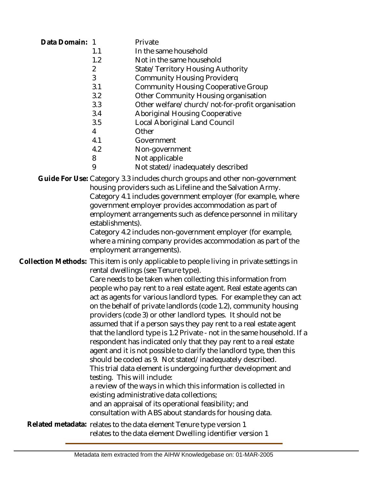| Data Domain: | $\overline{1}$<br>1.1<br>1.2<br>$\overline{2}$<br>3<br>3.1<br>3.2<br>3.3<br>3.4<br>3.5<br>$\overline{4}$<br>4.1<br>4.2<br>8<br>9                                                                                                                                                                                                                                                                                                                                                                                                                                                                                                                                                                                                                                                                                                                                                                                                                                                                                                                                                                                                                                            | Private<br>In the same household<br>Not in the same household<br>State/Territory Housing Authority<br><b>Community Housing Providerq</b><br><b>Community Housing Cooperative Group</b><br>Other Community Housing organisation<br>Other welfare/church/not-for-profit organisation<br><b>Aboriginal Housing Cooperative</b><br>Local Aboriginal Land Council<br>Other<br>Government<br>Non-government<br>Not applicable<br>Not stated/inadequately described                                     |
|--------------|-----------------------------------------------------------------------------------------------------------------------------------------------------------------------------------------------------------------------------------------------------------------------------------------------------------------------------------------------------------------------------------------------------------------------------------------------------------------------------------------------------------------------------------------------------------------------------------------------------------------------------------------------------------------------------------------------------------------------------------------------------------------------------------------------------------------------------------------------------------------------------------------------------------------------------------------------------------------------------------------------------------------------------------------------------------------------------------------------------------------------------------------------------------------------------|--------------------------------------------------------------------------------------------------------------------------------------------------------------------------------------------------------------------------------------------------------------------------------------------------------------------------------------------------------------------------------------------------------------------------------------------------------------------------------------------------|
|              | establishments).                                                                                                                                                                                                                                                                                                                                                                                                                                                                                                                                                                                                                                                                                                                                                                                                                                                                                                                                                                                                                                                                                                                                                            | Guide For Use: Category 3.3 includes church groups and other non-government<br>housing providers such as Lifeline and the Salvation Army.<br>Category 4.1 includes government employer (for example, where<br>government employer provides accommodation as part of<br>employment arrangements such as defence personnel in military<br>Category 4.2 includes non-government employer (for example,<br>where a mining company provides accommodation as part of the<br>employment arrangements). |
|              | Collection Methods: This item is only applicable to people living in private settings in<br>rental dwellings (see Tenure type).<br>Care needs to be taken when collecting this information from<br>people who pay rent to a real estate agent. Real estate agents can<br>act as agents for various landlord types. For example they can act<br>on the behalf of private landlords (code 1.2), community housing<br>providers (code 3) or other landlord types. It should not be<br>assumed that if a person says they pay rent to a real estate agent<br>that the landlord type is 1.2 Private - not in the same household. If a<br>respondent has indicated only that they pay rent to a real estate<br>agent and it is not possible to clarify the landlord type, then this<br>should be coded as 9. Not stated/inadequately described.<br>This trial data element is undergoing further development and<br>testing. This will include:<br>a review of the ways in which this information is collected in<br>existing administrative data collections;<br>and an appraisal of its operational feasibility; and<br>consultation with ABS about standards for housing data. |                                                                                                                                                                                                                                                                                                                                                                                                                                                                                                  |
|              |                                                                                                                                                                                                                                                                                                                                                                                                                                                                                                                                                                                                                                                                                                                                                                                                                                                                                                                                                                                                                                                                                                                                                                             | Related metadata: relates to the data element Tenure type version 1<br>relates to the data element Dwelling identifier version 1                                                                                                                                                                                                                                                                                                                                                                 |